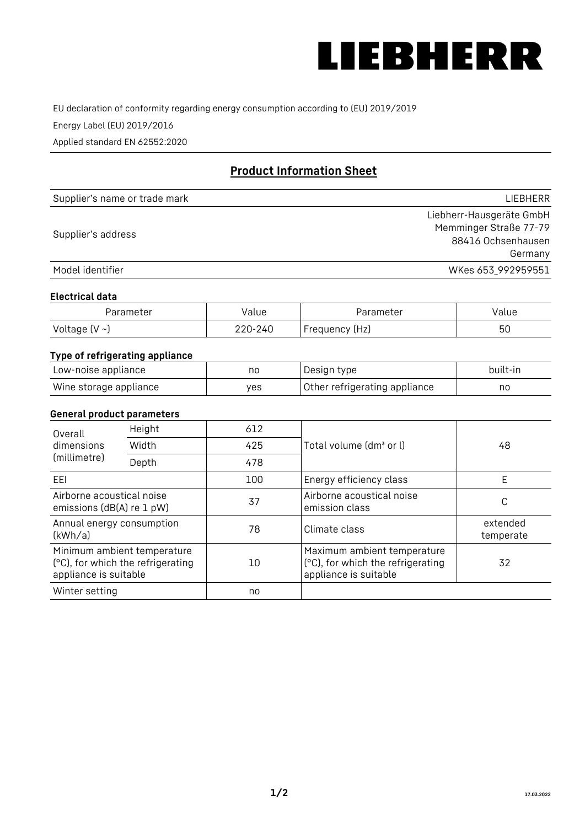

EU declaration of conformity regarding energy consumption according to (EU) 2019/2019

Energy Label (EU) 2019/2016

Applied standard EN 62552:2020

# **Product Information Sheet**

| Supplier's name or trade mark | LIEBHERR                 |
|-------------------------------|--------------------------|
|                               | Liebherr-Hausgeräte GmbH |
| Supplier's address            | Memminger Straße 77-79   |
|                               | 88416 Ochsenhausen       |
|                               | Germany                  |
| Model identifier              | WKes 653_992959551       |

#### **Electrical data**

| Parameter          | Value   | Parameter      | value |
|--------------------|---------|----------------|-------|
| Voltage $(V \sim)$ | 220-240 | Frequency (Hz) | 50    |

## **Type of refrigerating appliance**

| Low-noise appliance    | no  | Design type                   | built-in |
|------------------------|-----|-------------------------------|----------|
| Wine storage appliance | ves | Other refrigerating appliance | nc       |

#### **General product parameters**

| Height<br>Overall<br>dimensions<br>Width<br>(millimetre)<br>Depth                         |  | 612 |                                                                                           |                       |
|-------------------------------------------------------------------------------------------|--|-----|-------------------------------------------------------------------------------------------|-----------------------|
|                                                                                           |  | 425 | Total volume (dm <sup>3</sup> or l)                                                       |                       |
|                                                                                           |  | 478 |                                                                                           |                       |
| EEI                                                                                       |  | 100 | Energy efficiency class                                                                   | F                     |
| Airborne acoustical noise<br>emissions (dB(A) re 1 pW)                                    |  | 37  | Airborne acoustical noise<br>emission class                                               | С                     |
| Annual energy consumption<br>(kWh/a)                                                      |  | 78  | Climate class                                                                             | extended<br>temperate |
| Minimum ambient temperature<br>(°C), for which the refrigerating<br>appliance is suitable |  | 10  | Maximum ambient temperature<br>(°C), for which the refrigerating<br>appliance is suitable | 32                    |
| Winter setting                                                                            |  | no  |                                                                                           |                       |